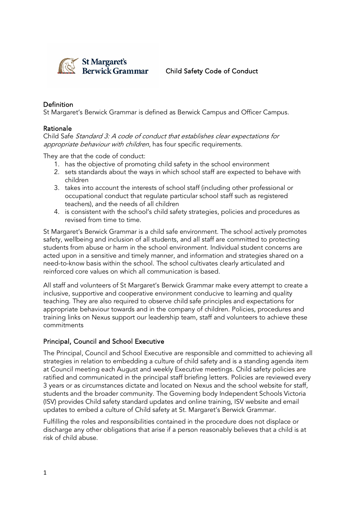

## Child Safety Code of Conduct

## Definition

St Margaret's Berwick Grammar is defined as Berwick Campus and Officer Campus.

#### Rationale

Child Safe Standard 3: A code of conduct that establishes clear expectations for appropriate behaviour with children, has four specific requirements.

They are that the code of conduct:

- 1. has the objective of promoting child safety in the school environment
- 2. sets standards about the ways in which school staff are expected to behave with children
- 3. takes into account the interests of school staff (including other professional or occupational conduct that regulate particular school staff such as registered teachers), and the needs of all children
- 4. is consistent with the school's child safety strategies, policies and procedures as revised from time to time.

St Margaret's Berwick Grammar is a child safe environment. The school actively promotes safety, wellbeing and inclusion of all students, and all staff are committed to protecting students from abuse or harm in the school environment. Individual student concerns are acted upon in a sensitive and timely manner, and information and strategies shared on a need-to-know basis within the school. The school cultivates clearly articulated and reinforced core values on which all communication is based.

All staff and volunteers of St Margaret's Berwick Grammar make every attempt to create a inclusive, supportive and cooperative environment conducive to learning and quality teaching. They are also required to observe child safe principles and expectations for appropriate behaviour towards and in the company of children. Policies, procedures and training links on Nexus support our leadership team, staff and volunteers to achieve these commitments

### Principal, Council and School Executive

The Principal, Council and School Executive are responsible and committed to achieving all strategies in relation to embedding a culture of child safety and is a standing agenda item at Council meeting each August and weekly Executive meetings. Child safety policies are ratified and communicated in the principal staff briefing letters. Policies are reviewed every 3 years or as circumstances dictate and located on Nexus and the school website for staff, students and the broader community. The Governing body Independent Schools Victoria (ISV) provides Child safety standard updates and online training, ISV website and email updates to embed a culture of Child safety at St. Margaret's Berwick Grammar.

Fulfilling the roles and responsibilities contained in the procedure does not displace or discharge any other obligations that arise if a person reasonably believes that a child is at risk of child abuse.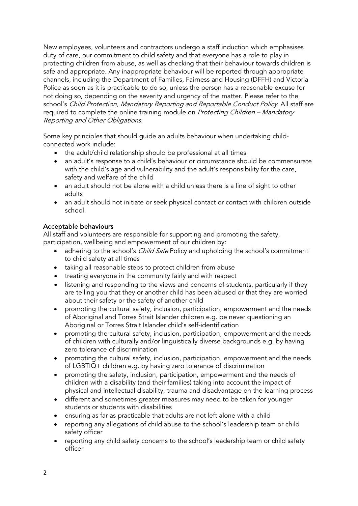New employees, volunteers and contractors undergo a staff induction which emphasises duty of care, our commitment to child safety and that everyone has a role to play in protecting children from abuse, as well as checking that their behaviour towards children is safe and appropriate. Any inappropriate behaviour will be reported through appropriate channels, including the Department of Families, Fairness and Housing (DFFH) and Victoria Police as soon as it is practicable to do so, unless the person has a reasonable excuse for not doing so, depending on the severity and urgency of the matter. Please refer to the school's Child Protection, Mandatory Reporting and Reportable Conduct Policy. All staff are required to complete the online training module on *Protecting Children – Mandatory* Reporting and Other Obligations.

Some key principles that should guide an adults behaviour when undertaking childconnected work include:

- the adult/child relationship should be professional at all times
- an adult's response to a child's behaviour or circumstance should be commensurate with the child's age and vulnerability and the adult's responsibility for the care, safety and welfare of the child
- an adult should not be alone with a child unless there is a line of sight to other adults
- an adult should not initiate or seek physical contact or contact with children outside school.

### Acceptable behaviours

All staff and volunteers are responsible for supporting and promoting the safety, participation, wellbeing and empowerment of our children by:

- adhering to the school's *Child Safe* Policy and upholding the school's commitment to child safety at all times
- taking all reasonable steps to protect children from abuse
- treating everyone in the community fairly and with respect
- listening and responding to the views and concerns of students, particularly if they are telling you that they or another child has been abused or that they are worried about their safety or the safety of another child
- promoting the cultural safety, inclusion, participation, empowerment and the needs of Aboriginal and Torres Strait Islander children e.g. be never questioning an Aboriginal or Torres Strait Islander child's self-identification
- promoting the cultural safety, inclusion, participation, empowerment and the needs of children with culturally and/or linguistically diverse backgrounds e.g. by having zero tolerance of discrimination
- promoting the cultural safety, inclusion, participation, empowerment and the needs of LGBTIQ+ children e.g. by having zero tolerance of discrimination
- promoting the safety, inclusion, participation, empowerment and the needs of children with a disability (and their families) taking into account the impact of physical and intellectual disability, trauma and disadvantage on the learning process
- different and sometimes greater measures may need to be taken for younger students or students with disabilities
- ensuring as far as practicable that adults are not left alone with a child
- reporting any allegations of child abuse to the school's leadership team or child safety officer
- reporting any child safety concerns to the school's leadership team or child safety officer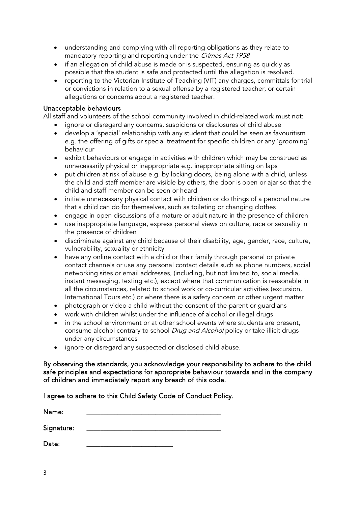- understanding and complying with all reporting obligations as they relate to mandatory reporting and reporting under the Crimes Act 1958
- if an allegation of child abuse is made or is suspected, ensuring as quickly as possible that the student is safe and protected until the allegation is resolved.
- reporting to the Victorian Institute of Teaching (VIT) any charges, committals for trial or convictions in relation to a sexual offense by a registered teacher, or certain allegations or concerns about a registered teacher.

#### Unacceptable behaviours

All staff and volunteers of the school community involved in child-related work must not:

- ignore or disregard any concerns, suspicions or disclosures of child abuse
- develop a 'special' relationship with any student that could be seen as favouritism e.g. the offering of gifts or special treatment for specific children or any 'grooming' behaviour
- exhibit behaviours or engage in activities with children which may be construed as unnecessarily physical or inappropriate e.g. inappropriate sitting on laps
- put children at risk of abuse e.g. by locking doors, being alone with a child, unless the child and staff member are visible by others, the door is open or ajar so that the child and staff member can be seen or heard
- initiate unnecessary physical contact with children or do things of a personal nature that a child can do for themselves, such as toileting or changing clothes
- engage in open discussions of a mature or adult nature in the presence of children
- use inappropriate language, express personal views on culture, race or sexuality in the presence of children
- discriminate against any child because of their disability, age, gender, race, culture, vulnerability, sexuality or ethnicity
- have any online contact with a child or their family through personal or private contact channels or use any personal contact details such as phone numbers, social networking sites or email addresses, (including, but not limited to, social media, instant messaging, texting etc.), except where that communication is reasonable in all the circumstances, related to school work or co-curricular activities (excursion, International Tours etc.) or where there is a safety concern or other urgent matter
- photograph or video a child without the consent of the parent or guardians
- work with children whilst under the influence of alcohol or illegal drugs
- in the school environment or at other school events where students are present, consume alcohol contrary to school *Drug and Alcohol* policy or take illicit drugs under any circumstances
- ignore or disregard any suspected or disclosed child abuse.

By observing the standards, you acknowledge your responsibility to adhere to the child safe principles and expectations for appropriate behaviour towards and in the company of children and immediately report any breach of this code.

I agree to adhere to this Child Safety Code of Conduct Policy.

| Name:      |  |  |  |
|------------|--|--|--|
|            |  |  |  |
| Signature: |  |  |  |

Date: